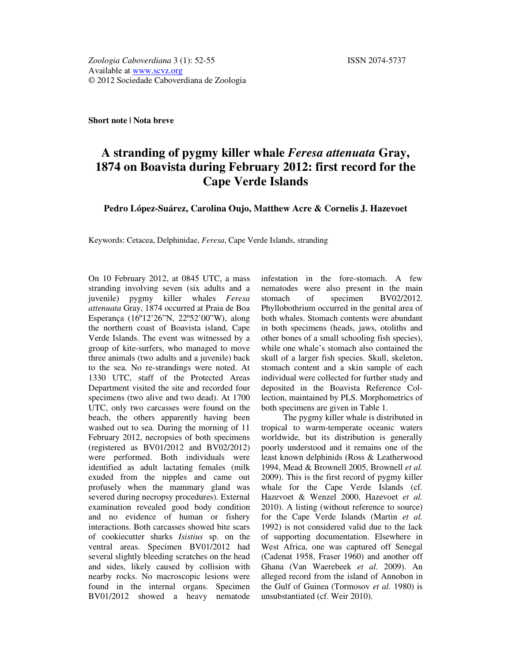**Short note | Nota breve** 

## **A stranding of pygmy killer whale** *Feresa attenuata* **Gray, 1874 on Boavista during February 2012: first record for the Cape Verde Islands**

**Pedro López-Suárez, Carolina Oujo, Matthew Acre & Cornelis J. Hazevoet**

Keywords: Cetacea, Delphinidae, *Feresa*, Cape Verde Islands, stranding

On 10 February 2012, at 0845 UTC, a mass stranding involving seven (six adults and a juvenile) pygmy killer whales *Feresa attenuata* Gray, 1874 occurred at Praia de Boa Esperança (16º12'26"N, 22º52'00"W), along the northern coast of Boavista island, Cape Verde Islands. The event was witnessed by a group of kite-surfers, who managed to move three animals (two adults and a juvenile) back to the sea. No re-strandings were noted. At 1330 UTC, staff of the Protected Areas Department visited the site and recorded four specimens (two alive and two dead). At 1700 UTC, only two carcasses were found on the beach, the others apparently having been washed out to sea. During the morning of 11 February 2012, necropsies of both specimens (registered as BV01/2012 and BV02/2012) were performed. Both individuals were identified as adult lactating females (milk exuded from the nipples and came out profusely when the mammary gland was severed during necropsy procedures). External examination revealed good body condition and no evidence of human or fishery interactions. Both carcasses showed bite scars of cookiecutter sharks *Isistius* sp. on the ventral areas. Specimen BV01/2012 had several slightly bleeding scratches on the head and sides, likely caused by collision with nearby rocks. No macroscopic lesions were found in the internal organs. Specimen BV01/2012 showed a heavy nematode

infestation in the fore-stomach. A few nematodes were also present in the main stomach of specimen BV02/2012. Phyllobothrium occurred in the genital area of both whales. Stomach contents were abundant in both specimens (heads, jaws, otoliths and other bones of a small schooling fish species), while one whale's stomach also contained the skull of a larger fish species. Skull, skeleton, stomach content and a skin sample of each individual were collected for further study and deposited in the Boavista Reference Collection, maintained by PLS. Morphometrics of both specimens are given in Table 1.

The pygmy killer whale is distributed in tropical to warm-temperate oceanic waters worldwide, but its distribution is generally poorly understood and it remains one of the least known delphinids (Ross & Leatherwood 1994, Mead & Brownell 2005, Brownell *et al.*  2009). This is the first record of pygmy killer whale for the Cape Verde Islands (cf. Hazevoet & Wenzel 2000, Hazevoet *et al.*  2010). A listing (without reference to source) for the Cape Verde Islands (Martin *et al.* 1992) is not considered valid due to the lack of supporting documentation. Elsewhere in West Africa, one was captured off Senegal (Cadenat 1958, Fraser 1960) and another off Ghana (Van Waerebeek *et al.* 2009). An alleged record from the island of Annobon in the Gulf of Guinea (Tormosov *et al.* 1980) is unsubstantiated (cf. Weir 2010).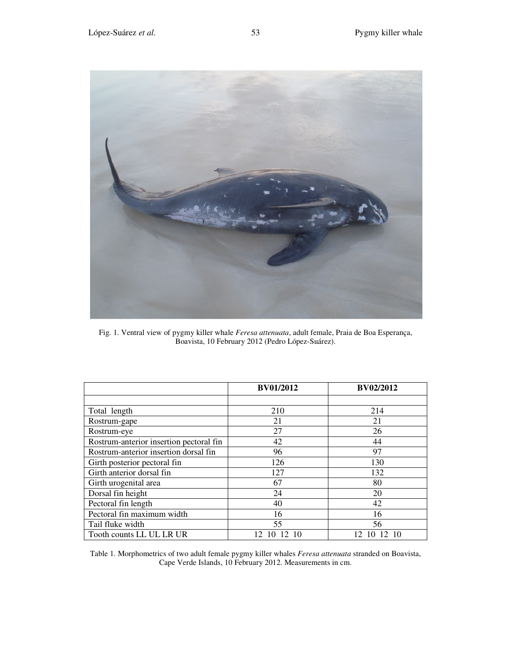

Fig. 1. Ventral view of pygmy killer whale *Feresa attenuata*, adult female, Praia de Boa Esperança, Boavista, 10 February 2012 (Pedro López-Suárez).

|                                         | BV01/2012 | <b>BV02/2012</b> |
|-----------------------------------------|-----------|------------------|
|                                         |           |                  |
| Total length                            | 210       | 214              |
| Rostrum-gape                            | 21        | 21               |
| Rostrum-eye                             | 27        | 26               |
| Rostrum-anterior insertion pectoral fin | 42        | 44               |
| Rostrum-anterior insertion dorsal fin   | 96        | 97               |
| Girth posterior pectoral fin            | 126       | 130              |
| Girth anterior dorsal fin               | 127       | 132              |
| Girth urogenital area                   | 67        | 80               |
| Dorsal fin height                       | 24        | 20               |
| Pectoral fin length                     | 40        | 42               |
| Pectoral fin maximum width              | 16        | 16               |
| Tail fluke width                        | 55        | 56               |
| Tooth counts LL UL LR UR                | 12        | 12               |

Table 1. Morphometrics of two adult female pygmy killer whales *Feresa attenuata* stranded on Boavista, Cape Verde Islands, 10 February 2012. Measurements in cm.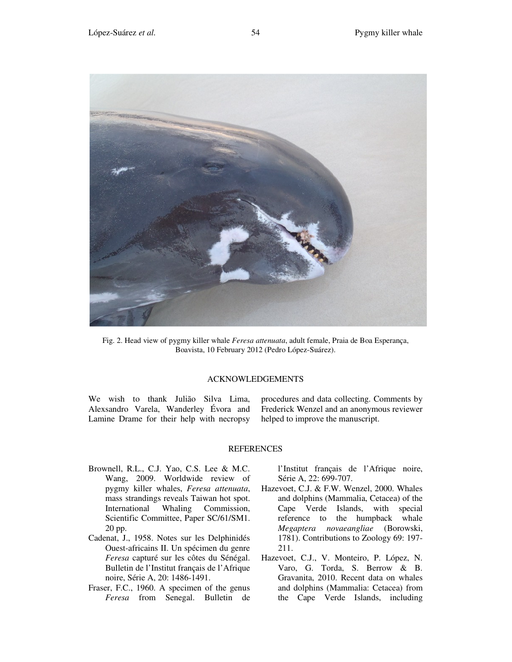

Fig. 2. Head view of pygmy killer whale *Feresa attenuata*, adult female, Praia de Boa Esperança, Boavista, 10 February 2012 (Pedro López-Suárez).

## ACKNOWLEDGEMENTS

We wish to thank Julião Silva Lima, Alexsandro Varela, Wanderley Évora and Lamine Drame for their help with necropsy

procedures and data collecting. Comments by Frederick Wenzel and an anonymous reviewer helped to improve the manuscript.

## **REFERENCES**

- Brownell, R.L., C.J. Yao, C.S. Lee & M.C. Wang, 2009. Worldwide review of pygmy killer whales, *Feresa attenuata*, mass strandings reveals Taiwan hot spot. International Whaling Commission, Scientific Committee, Paper SC/61/SM1. 20 pp.
- Cadenat, J., 1958. Notes sur les Delphinidés Ouest-africains II. Un spécimen du genre *Feresa* capturé sur les côtes du Sénégal. Bulletin de l'Institut français de l'Afrique noire, Série A, 20: 1486-1491.
- Fraser, F.C., 1960. A specimen of the genus *Feresa* from Senegal. Bulletin de

l'Institut français de l'Afrique noire, Série A, 22: 699-707.

- Hazevoet, C.J. & F.W. Wenzel, 2000. Whales and dolphins (Mammalia, Cetacea) of the Cape Verde Islands, with special reference to the humpback whale *Megaptera novaeangliae* (Borowski, 1781). Contributions to Zoology 69: 197- 211.
- Hazevoet, C.J., V. Monteiro, P. López, N. Varo, G. Torda, S. Berrow & B. Gravanita, 2010. Recent data on whales and dolphins (Mammalia: Cetacea) from the Cape Verde Islands, including